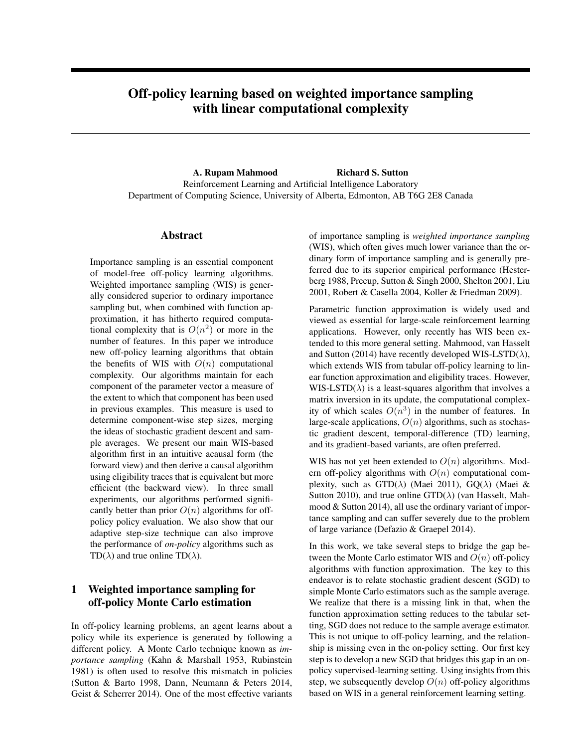# Off-policy learning based on weighted importance sampling with linear computational complexity

A. Rupam Mahmood Richard S. Sutton Reinforcement Learning and Artificial Intelligence Laboratory Department of Computing Science, University of Alberta, Edmonton, AB T6G 2E8 Canada

#### Abstract

Importance sampling is an essential component of model-free off-policy learning algorithms. Weighted importance sampling (WIS) is generally considered superior to ordinary importance sampling but, when combined with function approximation, it has hitherto required computational complexity that is  $O(n^2)$  or more in the number of features. In this paper we introduce new off-policy learning algorithms that obtain the benefits of WIS with  $O(n)$  computational complexity. Our algorithms maintain for each component of the parameter vector a measure of the extent to which that component has been used in previous examples. This measure is used to determine component-wise step sizes, merging the ideas of stochastic gradient descent and sample averages. We present our main WIS-based algorithm first in an intuitive acausal form (the forward view) and then derive a causal algorithm using eligibility traces that is equivalent but more efficient (the backward view). In three small experiments, our algorithms performed significantly better than prior  $O(n)$  algorithms for offpolicy policy evaluation. We also show that our adaptive step-size technique can also improve the performance of *on-policy* algorithms such as TD( $\lambda$ ) and true online TD( $\lambda$ ).

## 1 Weighted importance sampling for off-policy Monte Carlo estimation

In off-policy learning problems, an agent learns about a policy while its experience is generated by following a different policy. A Monte Carlo technique known as *importance sampling* (Kahn & Marshall 1953, Rubinstein 1981) is often used to resolve this mismatch in policies (Sutton & Barto 1998, Dann, Neumann & Peters 2014, Geist & Scherrer 2014). One of the most effective variants of importance sampling is *weighted importance sampling* (WIS), which often gives much lower variance than the ordinary form of importance sampling and is generally preferred due to its superior empirical performance (Hesterberg 1988, Precup, Sutton & Singh 2000, Shelton 2001, Liu 2001, Robert & Casella 2004, Koller & Friedman 2009).

Parametric function approximation is widely used and viewed as essential for large-scale reinforcement learning applications. However, only recently has WIS been extended to this more general setting. Mahmood, van Hasselt and Sutton (2014) have recently developed WIS-LSTD( $\lambda$ ), which extends WIS from tabular off-policy learning to linear function approximation and eligibility traces. However, WIS-LSTD( $\lambda$ ) is a least-squares algorithm that involves a matrix inversion in its update, the computational complexity of which scales  $O(n^3)$  in the number of features. In large-scale applications,  $O(n)$  algorithms, such as stochastic gradient descent, temporal-difference (TD) learning, and its gradient-based variants, are often preferred.

WIS has not yet been extended to  $O(n)$  algorithms. Modern off-policy algorithms with *O*(*n*) computational complexity, such as  $GTD(\lambda)$  (Maei 2011),  $GQ(\lambda)$  (Maei & Sutton 2010), and true online  $GTD(\lambda)$  (van Hasselt, Mahmood & Sutton 2014), all use the ordinary variant of importance sampling and can suffer severely due to the problem of large variance (Defazio & Graepel 2014).

In this work, we take several steps to bridge the gap between the Monte Carlo estimator WIS and  $O(n)$  off-policy algorithms with function approximation. The key to this endeavor is to relate stochastic gradient descent (SGD) to simple Monte Carlo estimators such as the sample average. We realize that there is a missing link in that, when the function approximation setting reduces to the tabular setting, SGD does not reduce to the sample average estimator. This is not unique to off-policy learning, and the relationship is missing even in the on-policy setting. Our first key step is to develop a new SGD that bridges this gap in an onpolicy supervised-learning setting. Using insights from this step, we subsequently develop  $O(n)$  off-policy algorithms based on WIS in a general reinforcement learning setting.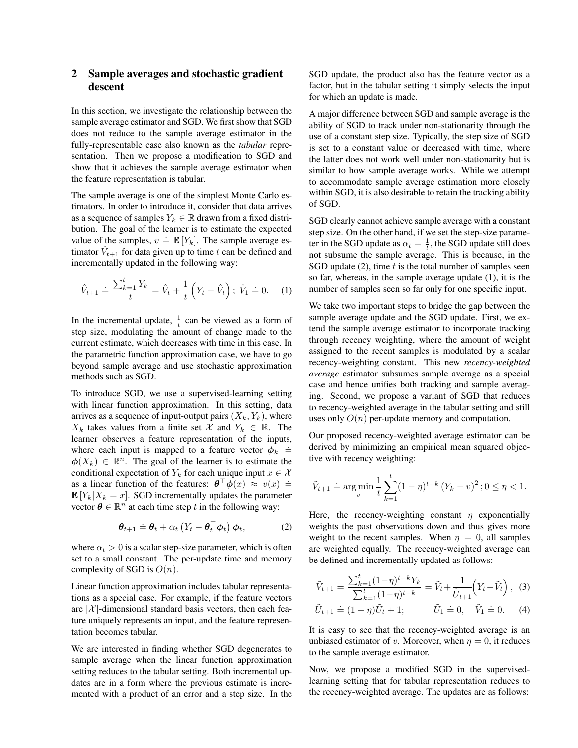## 2 Sample averages and stochastic gradient descent

In this section, we investigate the relationship between the sample average estimator and SGD. We first show that SGD does not reduce to the sample average estimator in the fully-representable case also known as the *tabular* representation. Then we propose a modification to SGD and show that it achieves the sample average estimator when the feature representation is tabular.

The sample average is one of the simplest Monte Carlo estimators. In order to introduce it, consider that data arrives as a sequence of samples  $Y_k \in \mathbb{R}$  drawn from a fixed distribution. The goal of the learner is to estimate the expected value of the samples,  $v = \mathbb{E}[Y_k]$ . The sample average estimator  $V_{t+1}$  for data given up to time t can be defined and incrementally updated in the following way:

$$
\hat{V}_{t+1} \doteq \frac{\sum_{k=1}^{t} Y_k}{t} = \hat{V}_t + \frac{1}{t} \left( Y_t - \hat{V}_t \right); \ \hat{V}_1 \doteq 0. \tag{1}
$$

In the incremental update,  $\frac{1}{t}$  can be viewed as a form of step size, modulating the amount of change made to the current estimate, which decreases with time in this case. In the parametric function approximation case, we have to go beyond sample average and use stochastic approximation methods such as SGD.

To introduce SGD, we use a supervised-learning setting with linear function approximation. In this setting, data arrives as a sequence of input-output pairs  $(X_k, Y_k)$ , where  $X_k$  takes values from a finite set X and  $Y_k \in \mathbb{R}$ . The learner observes a feature representation of the inputs, where each input is mapped to a feature vector  $\phi_k$   $\stackrel{\text{...}}{=}$  $\phi(X_k) \in \mathbb{R}^n$ . The goal of the learner is to estimate the conditional expectation of  $Y_k$  for each unique input  $x \in \mathcal{X}$ as a linear function of the features:  $\theta^{\top}\phi(x) \approx v(x) =$  $\mathbb{E}[Y_k|X_k=x]$ . SGD incrementally updates the parameter vector  $\theta \in \mathbb{R}^n$  at each time step *t* in the following way:

$$
\boldsymbol{\theta}_{t+1} \doteq \boldsymbol{\theta}_t + \alpha_t \left( Y_t - \boldsymbol{\theta}_t^\top \boldsymbol{\phi}_t \right) \boldsymbol{\phi}_t, \tag{2}
$$

where  $\alpha_t > 0$  is a scalar step-size parameter, which is often set to a small constant. The per-update time and memory complexity of SGD is *O*(*n*).

Linear function approximation includes tabular representations as a special case. For example, if the feature vectors are  $|\mathcal{X}|$ -dimensional standard basis vectors, then each feature uniquely represents an input, and the feature representation becomes tabular.

We are interested in finding whether SGD degenerates to sample average when the linear function approximation setting reduces to the tabular setting. Both incremental updates are in a form where the previous estimate is incremented with a product of an error and a step size. In the SGD update, the product also has the feature vector as a factor, but in the tabular setting it simply selects the input for which an update is made.

A major difference between SGD and sample average is the ability of SGD to track under non-stationarity through the use of a constant step size. Typically, the step size of SGD is set to a constant value or decreased with time, where the latter does not work well under non-stationarity but is similar to how sample average works. While we attempt to accommodate sample average estimation more closely within SGD, it is also desirable to retain the tracking ability of SGD.

SGD clearly cannot achieve sample average with a constant step size. On the other hand, if we set the step-size parameter in the SGD update as  $\alpha_t = \frac{1}{t}$ , the SGD update still does not subsume the sample average. This is because, in the SGD update [\(2\)](#page-1-0), time *t* is the total number of samples seen so far, whereas, in the sample average update [\(1\)](#page-1-1), it is the number of samples seen so far only for one specific input.

<span id="page-1-1"></span>We take two important steps to bridge the gap between the sample average update and the SGD update. First, we extend the sample average estimator to incorporate tracking through recency weighting, where the amount of weight assigned to the recent samples is modulated by a scalar recency-weighting constant. This new *recency-weighted average* estimator subsumes sample average as a special case and hence unifies both tracking and sample averaging. Second, we propose a variant of SGD that reduces to recency-weighted average in the tabular setting and still uses only  $O(n)$  per-update memory and computation.

Our proposed recency-weighted average estimator can be derived by minimizing an empirical mean squared objective with recency weighting:

$$
\tilde{V}_{t+1} \doteq \arg \min_{v} \frac{1}{t} \sum_{k=1}^{t} (1 - \eta)^{t-k} (Y_k - v)^2; 0 \le \eta < 1.
$$

<span id="page-1-0"></span>Here, the recency-weighting constant  $\eta$  exponentially weights the past observations down and thus gives more weight to the recent samples. When  $\eta = 0$ , all samples are weighted equally. The recency-weighted average can be defined and incrementally updated as follows:

<span id="page-1-3"></span><span id="page-1-2"></span>
$$
\tilde{V}_{t+1} = \frac{\sum_{k=1}^{t} (1-\eta)^{t-k} Y_k}{\sum_{k=1}^{t} (1-\eta)^{t-k}} = \tilde{V}_t + \frac{1}{\tilde{U}_{t+1}} \left( Y_t - \tilde{V}_t \right), (3)
$$
\n
$$
\tilde{U}_{t+1} \doteq (1-\eta) \tilde{U}_t + 1; \qquad \tilde{U}_1 \doteq 0, \quad \tilde{V}_1 \doteq 0. \quad (4)
$$

It is easy to see that the recency-weighted average is an unbiased estimator of *v*. Moreover, when  $n = 0$ , it reduces to the sample average estimator.

Now, we propose a modified SGD in the supervisedlearning setting that for tabular representation reduces to the recency-weighted average. The updates are as follows: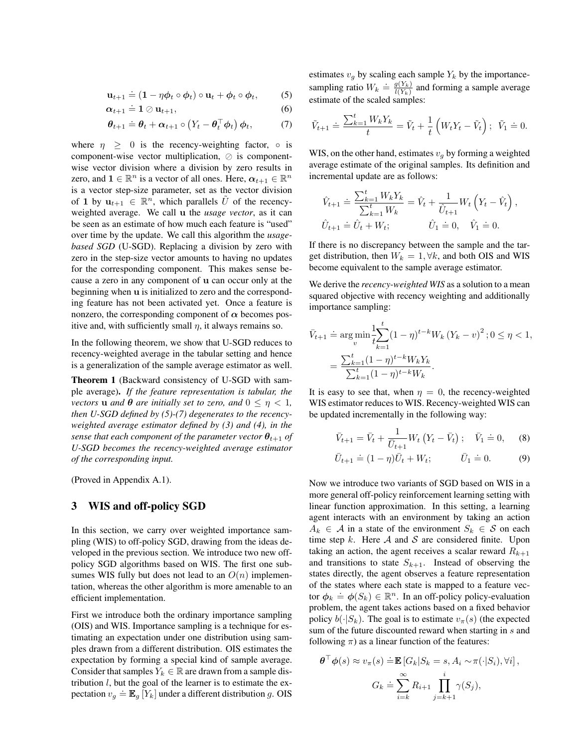$$
\mathbf{u}_{t+1} \doteq (1 - \eta \phi_t \circ \phi_t) \circ \mathbf{u}_t + \phi_t \circ \phi_t, \quad (5)
$$

$$
\boldsymbol{\alpha}_{t+1} \doteq 1 \oslash \mathbf{u}_{t+1},\tag{6}
$$

$$
\boldsymbol{\theta}_{t+1} \doteq \boldsymbol{\theta}_t + \boldsymbol{\alpha}_{t+1} \circ \left( Y_t - \boldsymbol{\theta}_t^\top \boldsymbol{\phi}_t \right) \boldsymbol{\phi}_t, \tag{7}
$$

where  $\eta \geq 0$  is the recency-weighting factor,  $\circ$  is component-wise vector multiplication,  $\oslash$  is componentwise vector division where a division by zero results in zero, and  $\mathbf{1} \in \mathbb{R}^n$  is a vector of all ones. Here,  $\alpha_{t+1} \in \mathbb{R}^n$ is a vector step-size parameter, set as the vector division of 1 by  $\mathbf{u}_{t+1} \in \mathbb{R}^n$ , which parallels *U* of the recencyweighted average. We call u the *usage vector*, as it can be seen as an estimate of how much each feature is "used" over time by the update. We call this algorithm the *usagebased SGD* (U-SGD). Replacing a division by zero with zero in the step-size vector amounts to having no updates for the corresponding component. This makes sense because a zero in any component of u can occur only at the beginning when u is initialized to zero and the corresponding feature has not been activated yet. Once a feature is nonzero, the corresponding component of  $\alpha$  becomes positive and, with sufficiently small  $\eta$ , it always remains so.

In the following theorem, we show that U-SGD reduces to recency-weighted average in the tabular setting and hence is a generalization of the sample average estimator as well.

Theorem 1 (Backward consistency of U-SGD with sample average). *If the feature representation is tabular, the vectors* **u** *and*  $\theta$  *are initially set to zero, and*  $0 \leq \eta < 1$ *, then U-SGD defined by [\(5\)](#page-2-0)-[\(7\)](#page-2-1) degenerates to the recencyweighted average estimator defined by [\(3\)](#page-1-2) and [\(4\)](#page-1-3), in the sense that each component of the parameter vector*  $\theta_{t+1}$  *of U-SGD becomes the recency-weighted average estimator of the corresponding input.*

(Proved in Appendix A.1).

#### 3 WIS and off-policy SGD

In this section, we carry over weighted importance sampling (WIS) to off-policy SGD, drawing from the ideas developed in the previous section. We introduce two new offpolicy SGD algorithms based on WIS. The first one subsumes WIS fully but does not lead to an  $O(n)$  implementation, whereas the other algorithm is more amenable to an efficient implementation.

First we introduce both the ordinary importance sampling (OIS) and WIS. Importance sampling is a technique for estimating an expectation under one distribution using samples drawn from a different distribution. OIS estimates the expectation by forming a special kind of sample average. Consider that samples  $Y_k \in \mathbb{R}$  are drawn from a sample distribution *l*, but the goal of the learner is to estimate the expectation  $v_g \doteq \mathbb{E}_g [Y_k]$  under a different distribution *g*. OIS

<span id="page-2-0"></span>estimates  $v_q$  by scaling each sample  $Y_k$  by the importancesampling ratio  $W_k \doteq \frac{g(Y_k)}{l(Y_k)}$  and forming a sample average estimate of the scaled samples:

<span id="page-2-1"></span>
$$
\tilde{V}_{t+1}\doteq\frac{\sum_{k=1}^t W_kY_k}{t}=\tilde{V}_t+\frac{1}{t}\left(W_tY_t-\tilde{V}_t\right);~~\tilde{V}_1\doteq0.
$$

WIS, on the other hand, estimates  $v<sub>q</sub>$  by forming a weighted average estimate of the original samples. Its definition and incremental update are as follows:

$$
\hat{V}_{t+1} \doteq \frac{\sum_{k=1}^{t} W_k Y_k}{\sum_{k=1}^{t} W_k} = \hat{V}_t + \frac{1}{\hat{U}_{t+1}} W_t \left( Y_t - \hat{V}_t \right),
$$
  

$$
\hat{U}_{t+1} \doteq \hat{U}_t + W_t; \qquad \hat{U}_1 \doteq 0, \quad \hat{V}_1 \doteq 0.
$$

If there is no discrepancy between the sample and the target distribution, then  $W_k = 1, \forall k$ , and both OIS and WIS become equivalent to the sample average estimator.

We derive the *recency-weighted WIS* as a solution to a mean squared objective with recency weighting and additionally importance sampling:

$$
\bar{V}_{t+1} \doteq \arg\min_{v} \frac{1}{t} \sum_{k=1}^{t} (1 - \eta)^{t-k} W_k (Y_k - v)^2; 0 \le \eta < 1,
$$
\n
$$
= \frac{\sum_{k=1}^{t} (1 - \eta)^{t-k} W_k Y_k}{\sum_{k=1}^{t} (1 - \eta)^{t-k} W_k}.
$$

It is easy to see that, when  $\eta = 0$ , the recency-weighted WIS estimator reduces to WIS. Recency-weighted WIS can be updated incrementally in the following way:

<span id="page-2-3"></span><span id="page-2-2"></span>
$$
\bar{V}_{t+1} = \bar{V}_t + \frac{1}{\bar{U}_{t+1}} W_t (Y_t - \bar{V}_t); \quad \bar{V}_1 \doteq 0,
$$
 (8)

$$
\bar{U}_{t+1} = (1 - \eta)\bar{U}_t + W_t; \qquad \bar{U}_1 = 0. \tag{9}
$$

Now we introduce two variants of SGD based on WIS in a more general off-policy reinforcement learning setting with linear function approximation. In this setting, a learning agent interacts with an environment by taking an action  $A_k \in \mathcal{A}$  in a state of the environment  $S_k \in \mathcal{S}$  on each time step *k*. Here *A* and *S* are considered finite. Upon taking an action, the agent receives a scalar reward  $R_{k+1}$ and transitions to state  $S_{k+1}$ . Instead of observing the states directly, the agent observes a feature representation of the states where each state is mapped to a feature vector  $\phi_k \doteq \phi(S_k) \in \mathbb{R}^n$ . In an off-policy policy-evaluation problem, the agent takes actions based on a fixed behavior policy  $b(\cdot|S_k)$ . The goal is to estimate  $v_\pi(s)$  (the expected sum of the future discounted reward when starting in *s* and following  $\pi$ ) as a linear function of the features:

$$
\theta^{\top} \phi(s) \approx v_{\pi}(s) \doteq \mathbb{E} \left[ G_k | S_k = s, A_i \sim \pi(\cdot | S_i), \forall i \right],
$$

$$
G_k \doteq \sum_{i=k}^{\infty} R_{i+1} \prod_{j=k+1}^{i} \gamma(S_j),
$$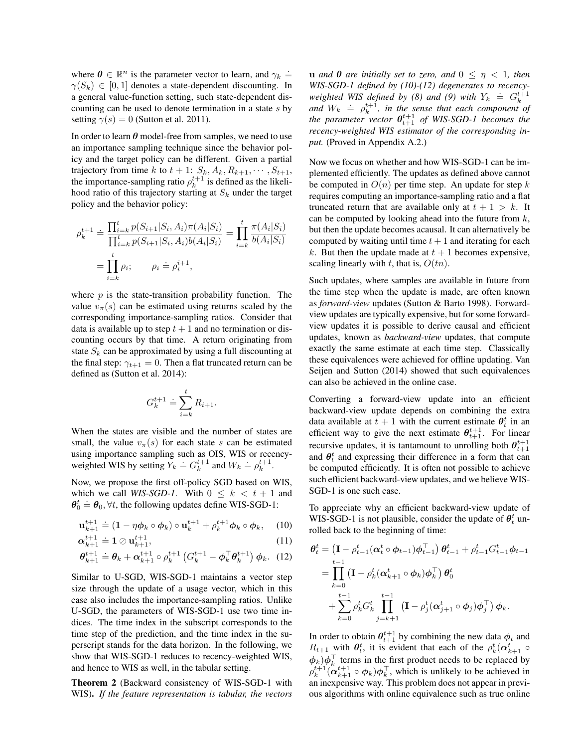where  $\theta \in \mathbb{R}^n$  is the parameter vector to learn, and  $\gamma_k =$  $\gamma(S_k) \in [0, 1]$  denotes a state-dependent discounting. In a general value-function setting, such state-dependent discounting can be used to denote termination in a state *s* by setting  $\gamma(s)=0$  (Sutton et al. 2011).

In order to learn  $\theta$  model-free from samples, we need to use an importance sampling technique since the behavior policy and the target policy can be different. Given a partial trajectory from time *k* to  $t + 1$ :  $S_k$ ,  $A_k$ ,  $R_{k+1}$ ,  $\cdots$ ,  $S_{t+1}$ , the importance-sampling ratio  $\rho_k^{t+1}$  is defined as the likelihood ratio of this trajectory starting at *S<sup>k</sup>* under the target policy and the behavior policy:

$$
\rho_k^{t+1} \doteq \frac{\prod_{i=k}^t p(S_{i+1}|S_i, A_i)\pi(A_i|S_i)}{\prod_{i=k}^t p(S_{i+1}|S_i, A_i)b(A_i|S_i)} = \prod_{i=k}^t \frac{\pi(A_i|S_i)}{b(A_i|S_i)}
$$

$$
= \prod_{i=k}^t \rho_i; \qquad \rho_i \doteq \rho_i^{i+1},
$$

where *p* is the state-transition probability function. The value  $v_\pi(s)$  can be estimated using returns scaled by the corresponding importance-sampling ratios. Consider that data is available up to step  $t + 1$  and no termination or discounting occurs by that time. A return originating from state  $S_k$  can be approximated by using a full discounting at the final step:  $\gamma_{t+1} = 0$ . Then a flat truncated return can be defined as (Sutton et al. 2014):

$$
G_k^{t+1} \doteq \sum_{i=k}^t R_{i+1}.
$$

When the states are visible and the number of states are small, the value  $v_\pi(s)$  for each state *s* can be estimated using importance sampling such as OIS, WIS or recencyweighted WIS by setting  $Y_k = G_k^{t+1}$  and  $W_k = \rho_k^{t+1}$ .

Now, we propose the first off-policy SGD based on WIS, which we call *WIS-SGD-1*. With  $0 \leq k < t + 1$  and  $\theta_0^t \doteq \theta_0$ ,  $\forall t$ , the following updates define WIS-SGD-1:

$$
\mathbf{u}_{k+1}^{t+1} \doteq (1 - \eta \phi_k \circ \phi_k) \circ \mathbf{u}_k^{t+1} + \rho_k^{t+1} \phi_k \circ \phi_k, \quad (10)
$$

$$
\boldsymbol{\alpha}_{k+1}^{t+1} \doteq 1 \oslash \mathbf{u}_{k+1}^{t+1}, \tag{11}
$$

$$
\boldsymbol{\theta}_{k+1}^{t+1} \doteq \boldsymbol{\theta}_k + \boldsymbol{\alpha}_{k+1}^{t+1} \circ \rho_k^{t+1} \left( G_k^{t+1} - \boldsymbol{\phi}_k^{\top} \boldsymbol{\theta}_k^{t+1} \right) \boldsymbol{\phi}_k. (12)
$$

Similar to U-SGD, WIS-SGD-1 maintains a vector step size through the update of a usage vector, which in this case also includes the importance-sampling ratios. Unlike U-SGD, the parameters of WIS-SGD-1 use two time indices. The time index in the subscript corresponds to the time step of the prediction, and the time index in the superscript stands for the data horizon. In the following, we show that WIS-SGD-1 reduces to recency-weighted WIS, and hence to WIS as well, in the tabular setting.

Theorem 2 (Backward consistency of WIS-SGD-1 with WIS). *If the feature representation is tabular, the vectors*

**u** and  $\theta$  are initially set to zero, and  $0 \leq n \leq 1$ , then *WIS-SGD-1 defined by [\(10\)](#page-3-0)-[\(12\)](#page-3-1) degenerates to recency-weighted WIS defined by [\(8\)](#page-2-2) and [\(9\)](#page-2-3) with*  $Y_k \doteq G_k^{t+1}$ and  $W_k \doteq \rho_k^{t+1}$ , in the sense that each component of the parameter vector  $\boldsymbol{\theta}_{t+1}^{t+1}$  of WIS-SGD-1 becomes the *recency-weighted WIS estimator of the corresponding input.* (Proved in Appendix A.2.)

Now we focus on whether and how WIS-SGD-1 can be implemented efficiently. The updates as defined above cannot be computed in  $O(n)$  per time step. An update for step  $k$ requires computing an importance-sampling ratio and a flat truncated return that are available only at  $t + 1 > k$ . It can be computed by looking ahead into the future from *k*, but then the update becomes acausal. It can alternatively be computed by waiting until time  $t + 1$  and iterating for each *k*. But then the update made at  $t + 1$  becomes expensive, scaling linearly with *t*, that is, *O*(*tn*).

Such updates, where samples are available in future from the time step when the update is made, are often known as *forward-view* updates (Sutton & Barto 1998). Forwardview updates are typically expensive, but for some forwardview updates it is possible to derive causal and efficient updates, known as *backward-view* updates, that compute exactly the same estimate at each time step. Classically these equivalences were achieved for offline updating. Van Seijen and Sutton (2014) showed that such equivalences can also be achieved in the online case.

Converting a forward-view update into an efficient backward-view update depends on combining the extra data available at  $t + 1$  with the current estimate  $\theta_t^t$  in an efficient way to give the next estimate  $\theta_{t+1}^{t+1}$ . For linear recursive updates, it is tantamount to unrolling both  $\theta_{t+1}^{t+1}$ and  $\theta_t^t$  and expressing their difference in a form that can be computed efficiently. It is often not possible to achieve such efficient backward-view updates, and we believe WIS-SGD-1 is one such case.

<span id="page-3-0"></span>To appreciate why an efficient backward-view update of WIS-SGD-1 is not plausible, consider the update of  $\theta_t^t$  unrolled back to the beginning of time:

<span id="page-3-1"></span>
$$
\theta_t^t = \left(\mathbf{I} - \rho_{t-1}^t (\boldsymbol{\alpha}_t^t \circ \boldsymbol{\phi}_{t-1}) \boldsymbol{\phi}_{t-1}^\top\right) \theta_{t-1}^t + \rho_{t-1}^t G_{t-1}^t \boldsymbol{\phi}_{t-1} \n= \prod_{k=0}^{t-1} \left(\mathbf{I} - \rho_k^t (\boldsymbol{\alpha}_{k+1}^t \circ \boldsymbol{\phi}_k) \boldsymbol{\phi}_k^\top\right) \theta_0^t \n+ \sum_{k=0}^{t-1} \rho_k^t G_k^t \prod_{j=k+1}^{t-1} \left(\mathbf{I} - \rho_j^t (\boldsymbol{\alpha}_{j+1}^t \circ \boldsymbol{\phi}_j) \boldsymbol{\phi}_j^\top\right) \boldsymbol{\phi}_k.
$$

In order to obtain  $\theta_{t+1}^{t+1}$  by combining the new data  $\phi_t$  and  $R_{t+1}$  with  $\theta_t^t$ , it is evident that each of the  $\rho_k^t(\boldsymbol{\alpha}_{k+1}^t \circ$  $\phi_k$ ) $\phi_k$  terms in the first product needs to be replaced by  $\rho_k^{t+1}(\alpha_{k+1}^{t+1} \circ \phi_k)\phi_k^{\top}$ , which is unlikely to be achieved in an inexpensive way. This problem does not appear in previous algorithms with online equivalence such as true online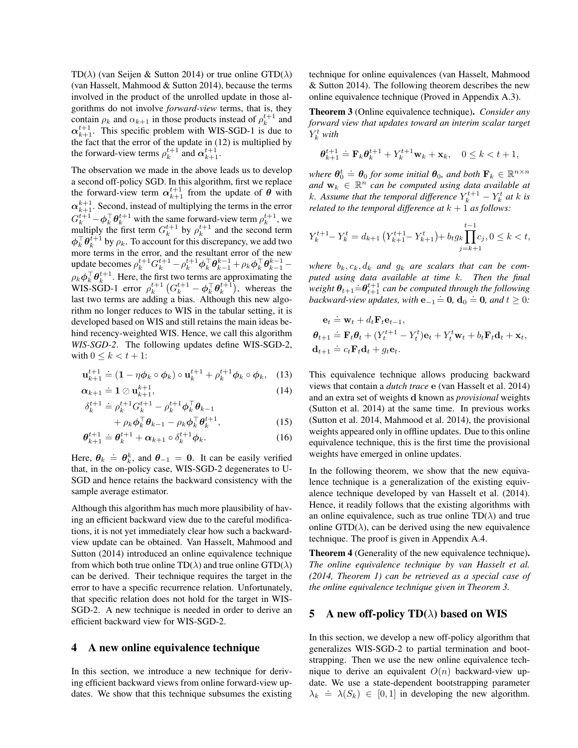TD( $\lambda$ ) (van Seijen & Sutton 2014) or true online GTD( $\lambda$ ) (van Hasselt, Mahmood & Sutton 2014), because the terms involved in the product of the unrolled update in those algorithms do not involve *forward-view* terms, that is, they contain  $\rho_k$  and  $\alpha_{k+1}$  in those products instead of  $\rho_k^{t+1}$  and  $\alpha_{k+1}^{t+1}$ . This specific problem with WIS-SGD-1 is due to the fact that the error of the update in [\(12\)](#page-3-1) is multiplied by the forward-view terms  $\rho_k^{t+1}$  and  $\alpha_{k+1}^{t+1}$ .

The observation we made in the above leads us to develop a second off-policy SGD. In this algorithm, first we replace the forward-view term  $\alpha_{k+1}^{t+1}$  from the update of  $\theta$  with  $\boldsymbol{\alpha}_{k+1}^{k+1}$ . Second, instead of multiplying the terms in the error  $G_k^{t+1} - \phi_k^{\top} \theta_k^{t+1}$  with the same forward-view term  $\rho_k^{t+1}$ , we multiply the first term  $G_k^{t+1}$  by  $\rho_k^{t+1}$  and the second term  $\phi_k^{\top} \theta_k^{t+1}$  by  $\rho_k$ . To account for this discrepancy, we add two more terms in the error, and the resultant error of the new update becomes  $\rho_k^{t+1} G_k^{t+1} - \rho_k^{t+1} \phi_k^{\top} \theta_{k-1}^{k-1} + \rho_k \phi_k^{\top} \theta_{k-1}^{k-1} \rho_k \phi_k^\top \theta_k^{t+1}$ . Here, the first two terms are approximating the WIS-SGD-1 error  $\rho_k^{t+1} \left( G_k^{t+1} - \phi_k^{\top} \theta_k^{t+1} \right)$ , whereas the last two terms are adding a bias. Although this new algorithm no longer reduces to WIS in the tabular setting, it is developed based on WIS and still retains the main ideas behind recency-weighted WIS. Hence, we call this algorithm *WIS-SGD-2*. The following updates define WIS-SGD-2, with  $0 \le k \le t + 1$ :

$$
\mathbf{u}_{k+1}^{t+1} \doteq (1 - \eta \phi_k \circ \phi_k) \circ \mathbf{u}_k^{t+1} + \rho_k^{t+1} \phi_k \circ \phi_k, \quad (13)
$$

$$
\alpha_{k+1} = 1 \oslash \mathbf{u}_{k+1}^{k+1},\tag{14}
$$

$$
\delta_k^{t+1} \doteq \rho_k^{t+1} G_k^{t+1} - \rho_k^{t+1} \phi_k^{\top} \boldsymbol{\theta}_{k-1}
$$
\n
$$
\mathbf{f} \cdot \mathbf{f} \cdot \mathbf{f} \cdot \mathbf{f} \cdot \mathbf{f} \cdot \mathbf{f} \cdot \mathbf{f} \cdot \mathbf{f} \cdot \mathbf{f} \cdot \mathbf{f} \cdot \mathbf{f} \cdot \mathbf{f} \cdot \mathbf{f} \cdot \mathbf{f} \cdot \mathbf{f} \cdot \mathbf{f} \cdot \mathbf{f} \cdot \mathbf{f} \cdot \mathbf{f} \cdot \mathbf{f} \cdot \mathbf{f} \cdot \mathbf{f} \cdot \mathbf{f} \cdot \mathbf{f} \cdot \mathbf{f} \cdot \mathbf{f} \cdot \mathbf{f} \cdot \mathbf{f} \cdot \mathbf{f} \cdot \mathbf{f} \cdot \mathbf{f} \cdot \mathbf{f} \cdot \mathbf{f} \cdot \mathbf{f} \cdot \mathbf{f} \cdot \mathbf{f} \cdot \mathbf{f} \cdot \mathbf{f} \cdot \mathbf{f} \cdot \mathbf{f} \cdot \mathbf{f} \cdot \mathbf{f} \cdot \mathbf{f} \cdot \mathbf{f} \cdot \mathbf{f} \cdot \mathbf{f} \cdot \mathbf{f} \cdot \mathbf{f} \cdot \mathbf{f} \cdot \mathbf{f} \cdot \mathbf{f} \cdot \mathbf{f} \cdot \mathbf{f} \cdot \mathbf{f} \cdot \mathbf{f} \cdot \mathbf{f} \cdot \mathbf{f} \cdot \mathbf{f} \cdot \mathbf{f} \cdot \mathbf{f} \cdot \mathbf{f} \cdot \mathbf{f} \cdot \mathbf{f} \cdot \mathbf{f} \cdot \mathbf{f} \cdot \mathbf{f} \cdot \mathbf{f} \cdot \mathbf{f} \cdot \mathbf{f} \cdot \mathbf{f} \cdot \mathbf{f} \cdot \mathbf{f} \cdot \mathbf{f} \cdot \mathbf{f} \cdot \mathbf{f} \cdot \mathbf{f} \cdot \mathbf{f} \cdot \mathbf{f} \cdot \mathbf{f} \cdot \mathbf{f} \cdot \mathbf{f} \cdot \mathbf{f} \cdot \mathbf{f} \cdot \mathbf{f} \cdot \mathbf{f} \cdot \mathbf{f} \cdot \mathbf{f} \cdot \mathbf
$$

$$
+\rho_k \phi_k^{\top} \theta_{k-1} - \rho_k \phi_k^{\top} \theta_k^{t+1}, \qquad (15)
$$

$$
\boldsymbol{\theta}_{k+1}^{t+1} \doteq \boldsymbol{\theta}_k^{t+1} + \boldsymbol{\alpha}_{k+1} \circ \delta_k^{t+1} \boldsymbol{\phi}_k. \tag{16}
$$

Here,  $\theta_k \doteq \theta_k^k$ , and  $\theta_{-1} = 0$ . It can be easily verified that, in the on-policy case, WIS-SGD-2 degenerates to U-SGD and hence retains the backward consistency with the sample average estimator.

Although this algorithm has much more plausibility of having an efficient backward view due to the careful modifications, it is not yet immediately clear how such a backwardview update can be obtained. Van Hasselt, Mahmood and Sutton (2014) introduced an online equivalence technique from which both true online TD( $\lambda$ ) and true online GTD( $\lambda$ ) can be derived. Their technique requires the target in the error to have a specific recurrence relation. Unfortunately, that specific relation does not hold for the target in WIS-SGD-2. A new technique is needed in order to derive an efficient backward view for WIS-SGD-2.

#### 4 A new online equivalence technique

In this section, we introduce a new technique for deriving efficient backward views from online forward-view updates. We show that this technique subsumes the existing technique for online equivalences (van Hasselt, Mahmood & Sutton 2014). The following theorem describes the new online equivalence technique (Proved in Appendix A.3).

<span id="page-4-0"></span>Theorem 3 (Online equivalence technique). *Consider any forward view that updates toward an interim scalar target*  $Y_k^t$  *with* 

$$
\boldsymbol{\theta}_{k+1}^{t+1} \doteq \mathbf{F}_k \boldsymbol{\theta}_k^{t+1} + Y_k^{t+1} \mathbf{w}_k + \mathbf{x}_k, \quad 0 \le k < t+1,
$$

*where*  $\boldsymbol{\theta}_0^t \doteq \boldsymbol{\theta}_0$  *for some initial*  $\boldsymbol{\theta}_0$ *, and both*  $\mathbf{F}_k \in \mathbb{R}^{n \times n}$ *and*  $\mathbf{w}_k \in \mathbb{R}^n$  *can be computed using data available at k.* Assume that the temporal difference  $Y_k^{t+1} - Y_k^t$  at *k* is *related to the temporal difference at*  $k + 1$  *as follows:* 

$$
Y_k^{t+1} - Y_k^t = d_{k+1} \left( Y_{k+1}^{t+1} - Y_{k+1}^t \right) + b_t g_k \prod_{j=k+1}^{t-1} c_j, 0 \le k < t,
$$

*where*  $b_k, c_k, d_k$  *and*  $g_k$  *are scalars that can be computed using data available at time k. Then the final*  $weight \ \theta_{t+1} \dot = \theta_{t+1}^{t+1}$  can be computed through the following backward-view updates, with  $e_{-1} \doteq 0$ ,  $d_0 \doteq 0$ , and  $t \ge 0$ :

$$
\begin{aligned} \mathbf{e}_t &= \mathbf{w}_t + d_t \mathbf{F}_t \mathbf{e}_{t-1}, \\ \boldsymbol{\theta}_{t+1} &= \mathbf{F}_t \boldsymbol{\theta}_t + (Y_t^{t+1} - Y_t^t) \mathbf{e}_t + Y_t^t \mathbf{w}_t + b_t \mathbf{F}_t \mathbf{d}_t + \mathbf{x}_t, \\ \mathbf{d}_{t+1} &= c_t \mathbf{F}_t \mathbf{d}_t + g_t \mathbf{e}_t. \end{aligned}
$$

This equivalence technique allows producing backward views that contain a *dutch trace* e (van Hasselt et al. 2014) and an extra set of weights d known as *provisional* weights (Sutton et al. 2014) at the same time. In previous works (Sutton et al. 2014, Mahmood et al. 2014), the provisional weights appeared only in offline updates. Due to this online equivalence technique, this is the first time the provisional weights have emerged in online updates.

In the following theorem, we show that the new equivalence technique is a generalization of the existing equivalence technique developed by van Hasselt et al. (2014). Hence, it readily follows that the existing algorithms with an online equivalence, such as true online  $TD(\lambda)$  and true online  $GTD(\lambda)$ , can be derived using the new equivalence technique. The proof is given in Appendix A.4.

Theorem 4 (Generality of the new equivalence technique). *The online equivalence technique by van Hasselt et al. (2014, Theorem 1) can be retrieved as a special case of the online equivalence technique given in Theorem [3.](#page-4-0)*

#### 5 A new off-policy  $TD(\lambda)$  based on WIS

In this section, we develop a new off-policy algorithm that generalizes WIS-SGD-2 to partial termination and bootstrapping. Then we use the new online equivalence technique to derive an equivalent  $O(n)$  backward-view update. We use a state-dependent bootstrapping parameter  $\lambda_k \doteq \lambda(S_k) \in [0,1]$  in developing the new algorithm.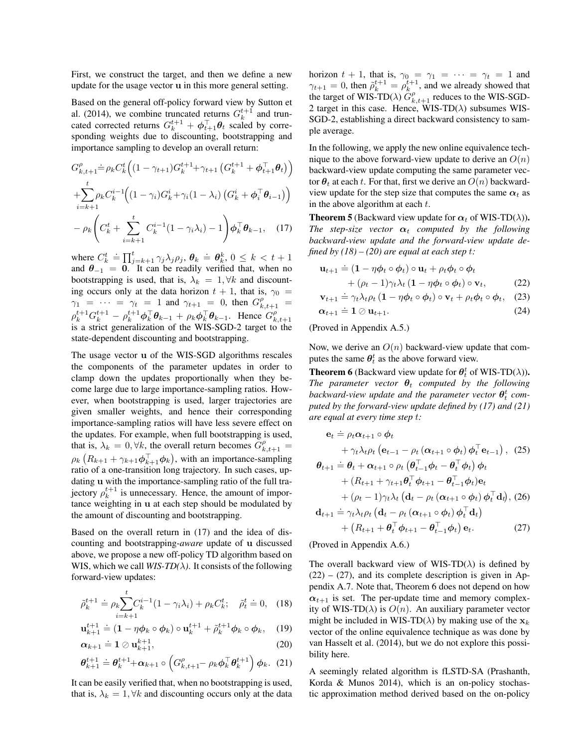First, we construct the target, and then we define a new update for the usage vector u in this more general setting.

Based on the general off-policy forward view by Sutton et al. (2014), we combine truncated returns  $G_k^{t+1}$  and truncated corrected returns  $G_k^{t+1} + \phi_{t+1}^{\top} \theta_t$  scaled by corresponding weights due to discounting, bootstrapping and importance sampling to develop an overall return:

$$
G_{k,t+1}^{\rho} \doteq \rho_k C_k^t \Big( (1 - \gamma_{t+1}) G_k^{t+1} + \gamma_{t+1} \left( G_k^{t+1} + \phi_{t+1}^\top \theta_t \right) \Big) + \sum_{i=k+1}^t \rho_k C_k^{i-1} \Big( (1 - \gamma_i) G_k^i + \gamma_i (1 - \lambda_i) \left( G_k^i + \phi_i^\top \theta_{i-1} \right) \Big) - \rho_k \Bigg( C_k^t + \sum_{i=k+1}^t C_k^{i-1} (1 - \gamma_i \lambda_i) - 1 \Bigg) \phi_k^\top \theta_{k-1}, \quad (17)
$$

where  $C_k^t$   $\stackrel{\text{.}}{=} \prod_{j=k+1}^t \gamma_j \lambda_j \rho_j$ ,  $\theta_k = \theta_k^k$ ,  $0 \le k < t+1$ and  $\theta_{-1} = 0$ . It can be readily verified that, when no bootstrapping is used, that is,  $\lambda_k = 1, \forall k$  and discounting occurs only at the data horizon  $t + 1$ , that is,  $\gamma_0$  =  $\gamma_1 = \cdots = \gamma_t = 1$  and  $\gamma_{t+1} = 0$ , then  $G_{k,t+1}^{\rho} =$  $\rho_k^{t+1} G_k^{t+1} - \rho_k^{t+1} \phi_k^{\top} \theta_{k-1} + \rho_k \phi_k^{\top} \theta_{k-1}$ . Hence  $G_{k,t+1}^{\rho}$ is a strict generalization of the WIS-SGD-2 target to the state-dependent discounting and bootstrapping.

The usage vector u of the WIS-SGD algorithms rescales the components of the parameter updates in order to clamp down the updates proportionally when they become large due to large importance-sampling ratios. However, when bootstrapping is used, larger trajectories are given smaller weights, and hence their corresponding importance-sampling ratios will have less severe effect on the updates. For example, when full bootstrapping is used, that is,  $\lambda_k = 0, \forall k$ , the overall return becomes  $G_{k,t+1}^{\rho}$  $\rho_k \left( R_{k+1} + \gamma_{k+1} \phi_{k+1}^\top \phi_k \right)$ , with an importance-sampling ratio of a one-transition long trajectory. In such cases, updating u with the importance-sampling ratio of the full trajectory  $\rho_k^{t+1}$  is unnecessary. Hence, the amount of importance weighting in u at each step should be modulated by the amount of discounting and bootstrapping.

Based on the overall return in [\(17\)](#page-5-0) and the idea of discounting and bootstrapping-*aware* update of u discussed above, we propose a new off-policy TD algorithm based on WIS, which we call  $WIS-TD(\lambda)$ . It consists of the following forward-view updates:

$$
\tilde{\rho}_k^{t+1} \doteq \rho_k \sum_{i=k+1}^t C_k^{i-1} (1 - \gamma_i \lambda_i) + \rho_k C_k^t; \quad \tilde{\rho}_t^t \doteq 0, \quad (18)
$$

$$
\mathbf{u}_{k+1}^{t+1} \doteq (1 - \eta \phi_k \circ \phi_k) \circ \mathbf{u}_k^{t+1} + \tilde{\rho}_k^{t+1} \phi_k \circ \phi_k, \quad (19)
$$

$$
\alpha_{k+1} \doteq 1 \oslash \mathbf{u}_{k+1}^{k+1}, \tag{20}
$$

$$
\boldsymbol{\theta}_{k+1}^{t+1} \doteq \boldsymbol{\theta}_k^{t+1} + \boldsymbol{\alpha}_{k+1} \circ \left( G_{k,t+1}^{\rho} - \rho_k \boldsymbol{\phi}_k^{\top} \boldsymbol{\theta}_k^{t+1} \right) \boldsymbol{\phi}_k. (21)
$$

It can be easily verified that, when no bootstrapping is used, that is,  $\lambda_k = 1, \forall k$  and discounting occurs only at the data

horizon  $t + 1$ , that is,  $\gamma_0 = \gamma_1 = \cdots = \gamma_t = 1$  and  $\gamma_{t+1} = 0$ , then  $\tilde{\rho}_k^{t+1} = \rho_k^{t+1}$ , and we already showed that the target of WIS-TD( $\lambda$ )  $G_{k,t+1}^{\rho}$  reduces to the WIS-SGD-2 target in this case. Hence, WIS-TD( $\lambda$ ) subsumes WIS-SGD-2, establishing a direct backward consistency to sample average.

In the following, we apply the new online equivalence technique to the above forward-view update to derive an  $O(n)$ backward-view update computing the same parameter vector  $\theta_t$  at each *t*. For that, first we derive an  $O(n)$  backwardview update for the step size that computes the same  $\alpha_t$  as in the above algorithm at each *t*.

<span id="page-5-0"></span>**Theorem 5** (Backward view update for  $\alpha_t$  of WIS-TD( $\lambda$ )). *The step-size vector*  $\alpha_t$  *computed by the following backward-view update and the forward-view update defined by*  $(18) - (20)$  $(18) - (20)$  $(18) - (20)$  *are equal at each step t:* 

<span id="page-5-4"></span>
$$
\mathbf{u}_{t+1} \doteq (1 - \eta \phi_t \circ \phi_t) \circ \mathbf{u}_t + \rho_t \phi_t \circ \phi_t + (\rho_t - 1) \gamma_t \lambda_t (1 - \eta \phi_t \circ \phi_t) \circ \mathbf{v}_t,
$$
(22)

$$
\mathbf{v}_{t+1} \doteq \gamma_t \lambda_t \rho_t \left( \mathbf{1} - \eta \phi_t \circ \phi_t \right) \circ \mathbf{v}_t + \rho_t \phi_t \circ \phi_t, \quad (23)
$$

<span id="page-5-7"></span>
$$
\alpha_{t+1} = 1 \oslash \mathbf{u}_{t+1}.
$$
\n(24)

(Proved in Appendix A.5.)

Now, we derive an  $O(n)$  backward-view update that computes the same  $\theta_t^t$  as the above forward view.

<span id="page-5-6"></span>**Theorem 6** (Backward view update for  $\theta_t^t$  of WIS-TD( $\lambda$ )). *The parameter vector*  $\theta_t$  *computed by the following*  $b$ ackward-view update and the parameter vector  $\boldsymbol{\theta}^{t}_{t}$  com*puted by the forward-view update defined by [\(17\)](#page-5-0) and [\(21\)](#page-5-3) are equal at every time step t:*

$$
\mathbf{e}_{t} \doteq \rho_{t} \alpha_{t+1} \circ \phi_{t} \n+ \gamma_{t} \lambda_{t} \rho_{t} \left( \mathbf{e}_{t-1} - \rho_{t} \left( \alpha_{t+1} \circ \phi_{t} \right) \phi_{t}^{\top} \mathbf{e}_{t-1} \right), (25) \n\theta_{t+1} \doteq \theta_{t} + \alpha_{t+1} \circ \rho_{t} \left( \theta_{t-1}^{\top} \phi_{t} - \theta_{t}^{\top} \phi_{t} \right) \phi_{t} \n+ (R_{t+1} + \gamma_{t+1} \theta_{t}^{\top} \phi_{t+1} - \theta_{t-1}^{\top} \phi_{t}) \mathbf{e}_{t} \n+ (\rho_{t} - 1) \gamma_{t} \lambda_{t} \left( \mathbf{d}_{t} - \rho_{t} \left( \alpha_{t+1} \circ \phi_{t} \right) \phi_{t}^{\top} \mathbf{d}_{t} \right), (26) \n\mathbf{d}_{t+1} \doteq \gamma_{t} \lambda_{t} \rho_{t} \left( \mathbf{d}_{t} - \rho_{t} \left( \alpha_{t+1} \circ \phi_{t} \right) \phi_{t}^{\top} \mathbf{d}_{t} \right) \n+ (R_{t+1} + \theta_{t}^{\top} \phi_{t+1} - \theta_{t-1}^{\top} \phi_{t} \right) \mathbf{e}_{t}.
$$
\n(27)

<span id="page-5-5"></span>(Proved in Appendix A.6.)

<span id="page-5-1"></span>The overall backward view of WIS-TD( $\lambda$ ) is defined by  $(22) - (27)$  $(22) - (27)$  $(22) - (27)$ , and its complete description is given in Appendix A.7. Note that, Theorem [6](#page-5-6) does not depend on how  $\alpha_{t+1}$  is set. The per-update time and memory complexity of WIS-TD( $\lambda$ ) is  $O(n)$ . An auxiliary parameter vector might be included in WIS-TD( $\lambda$ ) by making use of the  $x_k$ vector of the online equivalence technique as was done by van Hasselt et al. (2014), but we do not explore this possibility here.

<span id="page-5-3"></span><span id="page-5-2"></span>A seemingly related algorithm is fLSTD-SA (Prashanth, Korda & Munos 2014), which is an on-policy stochastic approximation method derived based on the on-policy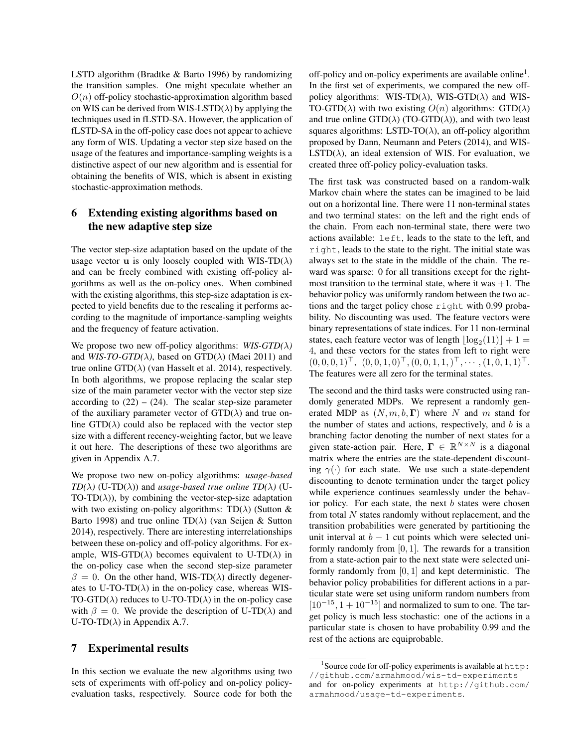LSTD algorithm (Bradtke & Barto 1996) by randomizing the transition samples. One might speculate whether an  $O(n)$  off-policy stochastic-approximation algorithm based on WIS can be derived from WIS-LSTD( $\lambda$ ) by applying the techniques used in fLSTD-SA. However, the application of fLSTD-SA in the off-policy case does not appear to achieve any form of WIS. Updating a vector step size based on the usage of the features and importance-sampling weights is a distinctive aspect of our new algorithm and is essential for obtaining the benefits of WIS, which is absent in existing stochastic-approximation methods.

## 6 Extending existing algorithms based on the new adaptive step size

The vector step-size adaptation based on the update of the usage vector **u** is only loosely coupled with WIS-TD( $\lambda$ ) and can be freely combined with existing off-policy algorithms as well as the on-policy ones. When combined with the existing algorithms, this step-size adaptation is expected to yield benefits due to the rescaling it performs according to the magnitude of importance-sampling weights and the frequency of feature activation.

We propose two new off-policy algorithms:  $WIS-GTD(\lambda)$ and *WIS-TO-GTD(* $\lambda$ *)*, based on GTD( $\lambda$ ) (Maei 2011) and true online GTD( $\lambda$ ) (van Hasselt et al. 2014), respectively. In both algorithms, we propose replacing the scalar step size of the main parameter vector with the vector step size according to  $(22) - (24)$  $(22) - (24)$  $(22) - (24)$ . The scalar step-size parameter of the auxiliary parameter vector of  $GTD(\lambda)$  and true online  $GTD(\lambda)$  could also be replaced with the vector step size with a different recency-weighting factor, but we leave it out here. The descriptions of these two algorithms are given in Appendix A.7.

We propose two new on-policy algorithms: *usage-based TD(* $\lambda$ *)* (U-TD( $\lambda$ )) and *usage-based true online TD(* $\lambda$ *)* (U-TO-TD( $\lambda$ )), by combining the vector-step-size adaptation with two existing on-policy algorithms:  $TD(\lambda)$  (Sutton & Barto 1998) and true online  $TD(\lambda)$  (van Seijen & Sutton 2014), respectively. There are interesting interrelationships between these on-policy and off-policy algorithms. For example, WIS-GTD( $\lambda$ ) becomes equivalent to U-TD( $\lambda$ ) in the on-policy case when the second step-size parameter  $\beta = 0$ . On the other hand, WIS-TD( $\lambda$ ) directly degenerates to U-TO-TD( $\lambda$ ) in the on-policy case, whereas WIS-TO-GTD( $\lambda$ ) reduces to U-TO-TD( $\lambda$ ) in the on-policy case with  $\beta = 0$ . We provide the description of U-TD( $\lambda$ ) and U-TO-TD( $\lambda$ ) in Appendix A.7.

#### 7 Experimental results

In this section we evaluate the new algorithms using two sets of experiments with off-policy and on-policy policyevaluation tasks, respectively. Source code for both the

off-policy and on-policy experiments are available online<sup>1</sup>. In the first set of experiments, we compared the new offpolicy algorithms: WIS-TD( $\lambda$ ), WIS-GTD( $\lambda$ ) and WIS-TO-GTD( $\lambda$ ) with two existing  $O(n)$  algorithms: GTD( $\lambda$ ) and true online  $GTD(\lambda)$  (TO-GTD( $\lambda$ )), and with two least squares algorithms: LSTD-TO( $\lambda$ ), an off-policy algorithm proposed by Dann, Neumann and Peters (2014), and WIS- $LSTD(\lambda)$ , an ideal extension of WIS. For evaluation, we created three off-policy policy-evaluation tasks.

The first task was constructed based on a random-walk Markov chain where the states can be imagined to be laid out on a horizontal line. There were 11 non-terminal states and two terminal states: on the left and the right ends of the chain. From each non-terminal state, there were two actions available: left, leads to the state to the left, and right, leads to the state to the right. The initial state was always set to the state in the middle of the chain. The reward was sparse: 0 for all transitions except for the rightmost transition to the terminal state, where it was  $+1$ . The behavior policy was uniformly random between the two actions and the target policy chose right with 0.99 probability. No discounting was used. The feature vectors were binary representations of state indices. For 11 non-terminal states, each feature vector was of length  $|\log_2(11)| + 1$  = 4, and these vectors for the states from left to right were  $(0,0,0,1)^\top$ ,  $(0,0,1,0)^\top$ ,  $(0,0,1,1,1)^\top$ ,  $\cdots$ ,  $(1,0,1,1)^\top$ . The features were all zero for the terminal states.

The second and the third tasks were constructed using randomly generated MDPs. We represent a randomly generated MDP as  $(N, m, b, \Gamma)$  where N and m stand for the number of states and actions, respectively, and *b* is a branching factor denoting the number of next states for a given state-action pair. Here,  $\mathbf{\Gamma} \in \mathbb{R}^{N \times N}$  is a diagonal matrix where the entries are the state-dependent discounting  $\gamma(\cdot)$  for each state. We use such a state-dependent discounting to denote termination under the target policy while experience continues seamlessly under the behavior policy. For each state, the next *b* states were chosen from total *N* states randomly without replacement, and the transition probabilities were generated by partitioning the unit interval at  $b - 1$  cut points which were selected uniformly randomly from [0*,* 1]. The rewards for a transition from a state-action pair to the next state were selected uniformly randomly from [0*,* 1] and kept deterministic. The behavior policy probabilities for different actions in a particular state were set using uniform random numbers from  $[10^{-15}, 1 + 10^{-15}]$  and normalized to sum to one. The target policy is much less stochastic: one of the actions in a particular state is chosen to have probability 0.99 and the rest of the actions are equiprobable.

<span id="page-6-0"></span><sup>&</sup>lt;sup>1</sup> Source code for off-policy experiments is available at [http:](http://github.com/armahmood/wis-td-experiments) [//github.com/armahmood/wis-td-experiments](http://github.com/armahmood/wis-td-experiments) and for on-policy experiments at [http://github.com/](http://github.com/armahmood/usage-td-experiments) [armahmood/usage-td-experiments](http://github.com/armahmood/usage-td-experiments).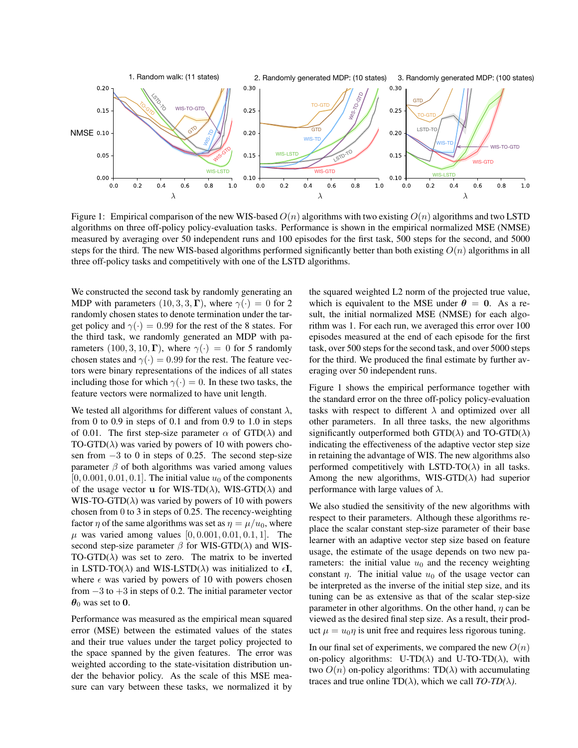

Figure 1: Empirical comparison of the new WIS-based  $O(n)$  algorithms with two existing  $O(n)$  algorithms and two LSTD algorithms on three off-policy policy-evaluation tasks. Performance is shown in the empirical normalized MSE (NMSE) measured by averaging over 50 independent runs and 100 episodes for the first task, 500 steps for the second, and 5000 steps for the third. The new WIS-based algorithms performed significantly better than both existing *O*(*n*) algorithms in all three off-policy tasks and competitively with one of the LSTD algorithms.

We constructed the second task by randomly generating an MDP with parameters  $(10, 3, 3, \Gamma)$ , where  $\gamma(\cdot) = 0$  for 2 randomly chosen states to denote termination under the target policy and  $\gamma(\cdot)=0.99$  for the rest of the 8 states. For the third task, we randomly generated an MDP with parameters  $(100, 3, 10, \Gamma)$ , where  $\gamma(\cdot) = 0$  for 5 randomly chosen states and  $\gamma(\cdot)=0.99$  for the rest. The feature vectors were binary representations of the indices of all states including those for which  $\gamma(\cdot)=0$ . In these two tasks, the feature vectors were normalized to have unit length.

We tested all algorithms for different values of constant  $\lambda$ , from 0 to 0.9 in steps of 0.1 and from 0.9 to 1.0 in steps of 0.01. The first step-size parameter  $\alpha$  of GTD( $\lambda$ ) and TO-GTD( $\lambda$ ) was varied by powers of 10 with powers chosen from  $-3$  to 0 in steps of 0.25. The second step-size parameter  $\beta$  of both algorithms was varied among values  $[0, 0.001, 0.01, 0.1]$ . The initial value  $u_0$  of the components of the usage vector **u** for WIS-TD( $\lambda$ ), WIS-GTD( $\lambda$ ) and WIS-TO-GTD( $\lambda$ ) was varied by powers of 10 with powers chosen from 0 to 3 in steps of 0.25. The recency-weighting factor  $\eta$  of the same algorithms was set as  $\eta = \mu/u_0$ , where *µ* was varied among values [0*,* 0*.*001*,* 0*.*01*,* 0*.*1*,* 1]. The second step-size parameter  $\beta$  for WIS-GTD( $\lambda$ ) and WIS-TO-GTD( $\lambda$ ) was set to zero. The matrix to be inverted in LSTD-TO( $\lambda$ ) and WIS-LSTD( $\lambda$ ) was initialized to  $\epsilon I$ , where  $\epsilon$  was varied by powers of 10 with powers chosen from  $-3$  to  $+3$  in steps of 0.2. The initial parameter vector  $\theta_0$  was set to 0.

Performance was measured as the empirical mean squared error (MSE) between the estimated values of the states and their true values under the target policy projected to the space spanned by the given features. The error was weighted according to the state-visitation distribution under the behavior policy. As the scale of this MSE measure can vary between these tasks, we normalized it by the squared weighted L2 norm of the projected true value, which is equivalent to the MSE under  $\theta = 0$ . As a result, the initial normalized MSE (NMSE) for each algorithm was 1. For each run, we averaged this error over 100 episodes measured at the end of each episode for the first task, over 500 steps for the second task, and over 5000 steps for the third. We produced the final estimate by further averaging over 50 independent runs.

Figure 1 shows the empirical performance together with the standard error on the three off-policy policy-evaluation tasks with respect to different  $\lambda$  and optimized over all other parameters. In all three tasks, the new algorithms significantly outperformed both  $GTD(\lambda)$  and  $TO-GTD(\lambda)$ indicating the effectiveness of the adaptive vector step size in retaining the advantage of WIS. The new algorithms also performed competitively with LSTD-TO( $\lambda$ ) in all tasks. Among the new algorithms, WIS-GTD( $\lambda$ ) had superior performance with large values of  $\lambda$ .

We also studied the sensitivity of the new algorithms with respect to their parameters. Although these algorithms replace the scalar constant step-size parameter of their base learner with an adaptive vector step size based on feature usage, the estimate of the usage depends on two new parameters: the initial value  $u_0$  and the recency weighting constant  $\eta$ . The initial value  $u_0$  of the usage vector can be interpreted as the inverse of the initial step size, and its tuning can be as extensive as that of the scalar step-size parameter in other algorithms. On the other hand,  $\eta$  can be viewed as the desired final step size. As a result, their product  $\mu = u_0 \eta$  is unit free and requires less rigorous tuning.

In our final set of experiments, we compared the new  $O(n)$ on-policy algorithms: U-TD( $\lambda$ ) and U-TO-TD( $\lambda$ ), with two  $O(n)$  on-policy algorithms: TD( $\lambda$ ) with accumulating traces and true online  $TD(\lambda)$ , which we call  $TO-TD(\lambda)$ .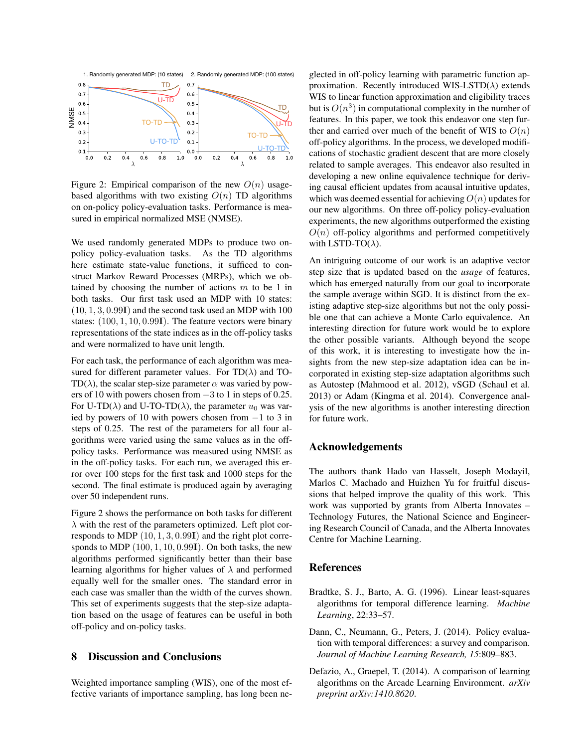

Figure 2: Empirical comparison of the new  $O(n)$  usagebased algorithms with two existing  $O(n)$  TD algorithms on on-policy policy-evaluation tasks. Performance is measured in empirical normalized MSE (NMSE).

We used randomly generated MDPs to produce two onpolicy policy-evaluation tasks. As the TD algorithms here estimate state-value functions, it sufficed to construct Markov Reward Processes (MRPs), which we obtained by choosing the number of actions *m* to be 1 in both tasks. Our first task used an MDP with 10 states: (10*,* 1*,* 3*,* 0*.*99I) and the second task used an MDP with 100 states: (100*,* 1*,* 10*,* 0*.*99I). The feature vectors were binary representations of the state indices as in the off-policy tasks and were normalized to have unit length.

For each task, the performance of each algorithm was measured for different parameter values. For  $TD(\lambda)$  and  $TO-$ TD( $\lambda$ ), the scalar step-size parameter  $\alpha$  was varied by powers of 10 with powers chosen from  $-3$  to 1 in steps of 0.25. For U-TD( $\lambda$ ) and U-TO-TD( $\lambda$ ), the parameter  $u_0$  was varied by powers of 10 with powers chosen from  $-1$  to 3 in steps of 0.25. The rest of the parameters for all four algorithms were varied using the same values as in the offpolicy tasks. Performance was measured using NMSE as in the off-policy tasks. For each run, we averaged this error over 100 steps for the first task and 1000 steps for the second. The final estimate is produced again by averaging over 50 independent runs.

Figure 2 shows the performance on both tasks for different  $\lambda$  with the rest of the parameters optimized. Left plot corresponds to MDP (10*,* 1*,* 3*,* 0*.*99I) and the right plot corresponds to MDP (100*,* 1*,* 10*,* 0*.*99I). On both tasks, the new algorithms performed significantly better than their base learning algorithms for higher values of  $\lambda$  and performed equally well for the smaller ones. The standard error in each case was smaller than the width of the curves shown. This set of experiments suggests that the step-size adaptation based on the usage of features can be useful in both off-policy and on-policy tasks.

### 8 Discussion and Conclusions

Weighted importance sampling (WIS), one of the most effective variants of importance sampling, has long been neglected in off-policy learning with parametric function approximation. Recently introduced WIS-LSTD( $\lambda$ ) extends WIS to linear function approximation and eligibility traces but is  $O(n^3)$  in computational complexity in the number of features. In this paper, we took this endeavor one step further and carried over much of the benefit of WIS to  $O(n)$ off-policy algorithms. In the process, we developed modifications of stochastic gradient descent that are more closely related to sample averages. This endeavor also resulted in developing a new online equivalence technique for deriving causal efficient updates from acausal intuitive updates, which was deemed essential for achieving  $O(n)$  updates for our new algorithms. On three off-policy policy-evaluation experiments, the new algorithms outperformed the existing  $O(n)$  off-policy algorithms and performed competitively with LSTD-TO( $\lambda$ ).

An intriguing outcome of our work is an adaptive vector step size that is updated based on the *usage* of features, which has emerged naturally from our goal to incorporate the sample average within SGD. It is distinct from the existing adaptive step-size algorithms but not the only possible one that can achieve a Monte Carlo equivalence. An interesting direction for future work would be to explore the other possible variants. Although beyond the scope of this work, it is interesting to investigate how the insights from the new step-size adaptation idea can be incorporated in existing step-size adaptation algorithms such as Autostep (Mahmood et al. 2012), vSGD (Schaul et al. 2013) or Adam (Kingma et al. 2014). Convergence analysis of the new algorithms is another interesting direction for future work.

#### Acknowledgements

The authors thank Hado van Hasselt, Joseph Modayil, Marlos C. Machado and Huizhen Yu for fruitful discussions that helped improve the quality of this work. This work was supported by grants from Alberta Innovates – Technology Futures, the National Science and Engineering Research Council of Canada, and the Alberta Innovates Centre for Machine Learning.

#### References

- Bradtke, S. J., Barto, A. G. (1996). Linear least-squares algorithms for temporal difference learning. *Machine Learning*, 22:33–57.
- Dann, C., Neumann, G., Peters, J. (2014). Policy evaluation with temporal differences: a survey and comparison. *Journal of Machine Learning Research, 15*:809–883.
- Defazio, A., Graepel, T. (2014). A comparison of learning algorithms on the Arcade Learning Environment. *arXiv preprint arXiv:1410.8620*.